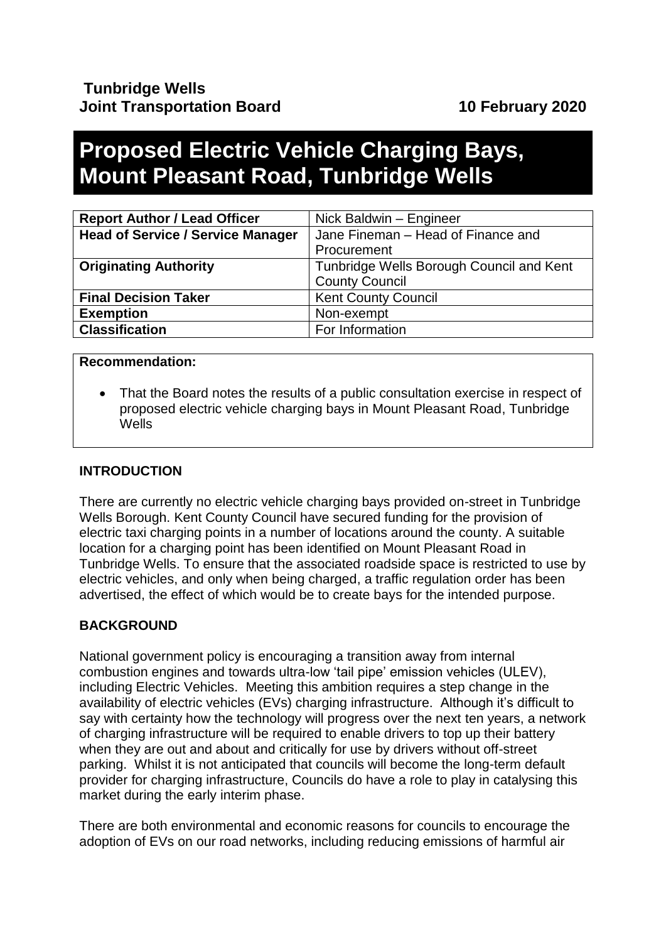# **Proposed Electric Vehicle Charging Bays, Mount Pleasant Road, Tunbridge Wells**

| <b>Report Author / Lead Officer</b>      | Nick Baldwin - Engineer                  |
|------------------------------------------|------------------------------------------|
| <b>Head of Service / Service Manager</b> | Jane Fineman - Head of Finance and       |
|                                          | Procurement                              |
| <b>Originating Authority</b>             | Tunbridge Wells Borough Council and Kent |
|                                          | <b>County Council</b>                    |
| <b>Final Decision Taker</b>              | <b>Kent County Council</b>               |
| <b>Exemption</b>                         | Non-exempt                               |
| <b>Classification</b>                    | For Information                          |

#### **Recommendation:**

• That the Board notes the results of a public consultation exercise in respect of proposed electric vehicle charging bays in Mount Pleasant Road, Tunbridge Wells

## **INTRODUCTION**

There are currently no electric vehicle charging bays provided on-street in Tunbridge Wells Borough. Kent County Council have secured funding for the provision of electric taxi charging points in a number of locations around the county. A suitable location for a charging point has been identified on Mount Pleasant Road in Tunbridge Wells. To ensure that the associated roadside space is restricted to use by electric vehicles, and only when being charged, a traffic regulation order has been advertised, the effect of which would be to create bays for the intended purpose.

## **BACKGROUND**

National government policy is encouraging a transition away from internal combustion engines and towards ultra-low 'tail pipe' emission vehicles (ULEV), including Electric Vehicles. Meeting this ambition requires a step change in the availability of electric vehicles (EVs) charging infrastructure. Although it's difficult to say with certainty how the technology will progress over the next ten years, a network of charging infrastructure will be required to enable drivers to top up their battery when they are out and about and critically for use by drivers without off-street parking. Whilst it is not anticipated that councils will become the long-term default provider for charging infrastructure, Councils do have a role to play in catalysing this market during the early interim phase.

There are both environmental and economic reasons for councils to encourage the adoption of EVs on our road networks, including reducing emissions of harmful air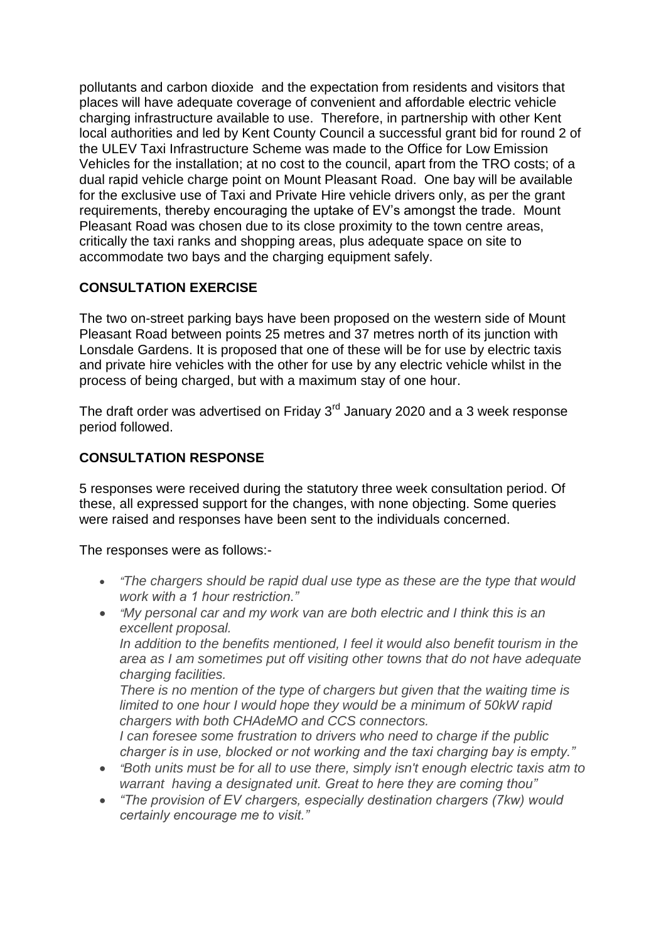pollutants and carbon dioxide and the expectation from residents and visitors that places will have adequate coverage of convenient and affordable electric vehicle charging infrastructure available to use. Therefore, in partnership with other Kent local authorities and led by Kent County Council a successful grant bid for round 2 of the ULEV Taxi Infrastructure Scheme was made to the Office for Low Emission Vehicles for the installation; at no cost to the council, apart from the TRO costs; of a dual rapid vehicle charge point on Mount Pleasant Road. One bay will be available for the exclusive use of Taxi and Private Hire vehicle drivers only, as per the grant requirements, thereby encouraging the uptake of EV's amongst the trade. Mount Pleasant Road was chosen due to its close proximity to the town centre areas, critically the taxi ranks and shopping areas, plus adequate space on site to accommodate two bays and the charging equipment safely.

# **CONSULTATION EXERCISE**

The two on-street parking bays have been proposed on the western side of Mount Pleasant Road between points 25 metres and 37 metres north of its junction with Lonsdale Gardens. It is proposed that one of these will be for use by electric taxis and private hire vehicles with the other for use by any electric vehicle whilst in the process of being charged, but with a maximum stay of one hour.

The draft order was advertised on Friday 3<sup>rd</sup> January 2020 and a 3 week response period followed.

# **CONSULTATION RESPONSE**

5 responses were received during the statutory three week consultation period. Of these, all expressed support for the changes, with none objecting. Some queries were raised and responses have been sent to the individuals concerned.

The responses were as follows:-

- *"The chargers should be rapid dual use type as these are the type that would work with a 1 hour restriction."*
- *"My personal car and my work van are both electric and I think this is an excellent proposal.*

*In addition to the benefits mentioned, I feel it would also benefit tourism in the area as I am sometimes put off visiting other towns that do not have adequate charging facilities.*

*There is no mention of the type of chargers but given that the waiting time is limited to one hour I would hope they would be a minimum of 50kW rapid chargers with both CHAdeMO and CCS connectors.*

*I can foresee some frustration to drivers who need to charge if the public charger is in use, blocked or not working and the taxi charging bay is empty."*

- *"Both units must be for all to use there, simply isn't enough electric taxis atm to warrant having a designated unit. Great to here they are coming thou"*
- *"The provision of EV chargers, especially destination chargers (7kw) would certainly encourage me to visit."*